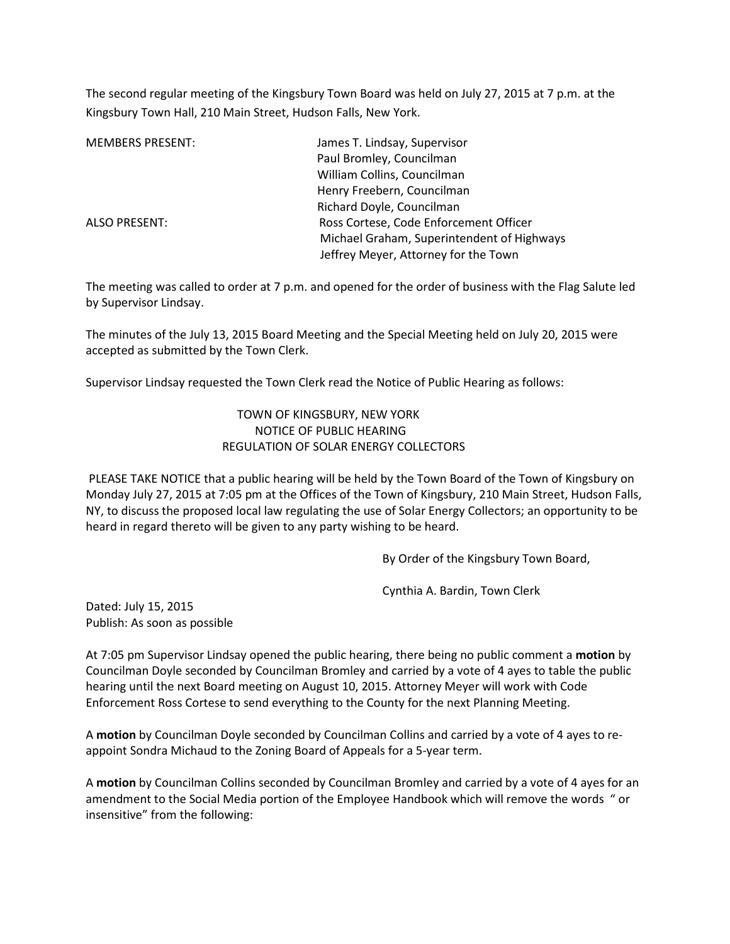The second regular meeting of the Kingsbury Town Board was held on July 27, 2015 at 7 p.m. at the Kingsbury Town Hall, 210 Main Street, Hudson Falls, New York.

| <b>MEMBERS PRESENT:</b> | James T. Lindsay, Supervisor               |
|-------------------------|--------------------------------------------|
|                         | Paul Bromley, Councilman                   |
|                         | William Collins, Councilman                |
|                         | Henry Freebern, Councilman                 |
|                         | Richard Doyle, Councilman                  |
| <b>ALSO PRESENT:</b>    | Ross Cortese, Code Enforcement Officer     |
|                         | Michael Graham, Superintendent of Highways |
|                         | Jeffrey Meyer, Attorney for the Town       |

The meeting was called to order at 7 p.m. and opened for the order of business with the Flag Salute led by Supervisor Lindsay.

The minutes of the July 13, 2015 Board Meeting and the Special Meeting held on July 20, 2015 were accepted as submitted by the Town Clerk.

Supervisor Lindsay requested the Town Clerk read the Notice of Public Hearing as follows:

## TOWN OF KINGSBURY, NEW YORK NOTICE OF PUBLIC HEARING REGULATION OF SOLAR ENERGY COLLECTORS

 PLEASE TAKE NOTICE that a public hearing will be held by the Town Board of the Town of Kingsbury on Monday July 27, 2015 at 7:05 pm at the Offices of the Town of Kingsbury, 210 Main Street, Hudson Falls, NY, to discuss the proposed local law regulating the use of Solar Energy Collectors; an opportunity to be heard in regard thereto will be given to any party wishing to be heard.

By Order of the Kingsbury Town Board,

Cynthia A. Bardin, Town Clerk

Dated: July 15, 2015 Publish: As soon as possible

At 7:05 pm Supervisor Lindsay opened the public hearing, there being no public comment a **motion** by Councilman Doyle seconded by Councilman Bromley and carried by a vote of 4 ayes to table the public hearing until the next Board meeting on August 10, 2015. Attorney Meyer will work with Code Enforcement Ross Cortese to send everything to the County for the next Planning Meeting.

A **motion** by Councilman Doyle seconded by Councilman Collins and carried by a vote of 4 ayes to reappoint Sondra Michaud to the Zoning Board of Appeals for a 5-year term.

A **motion** by Councilman Collins seconded by Councilman Bromley and carried by a vote of 4 ayes for an amendment to the Social Media portion of the Employee Handbook which will remove the words " or insensitive" from the following: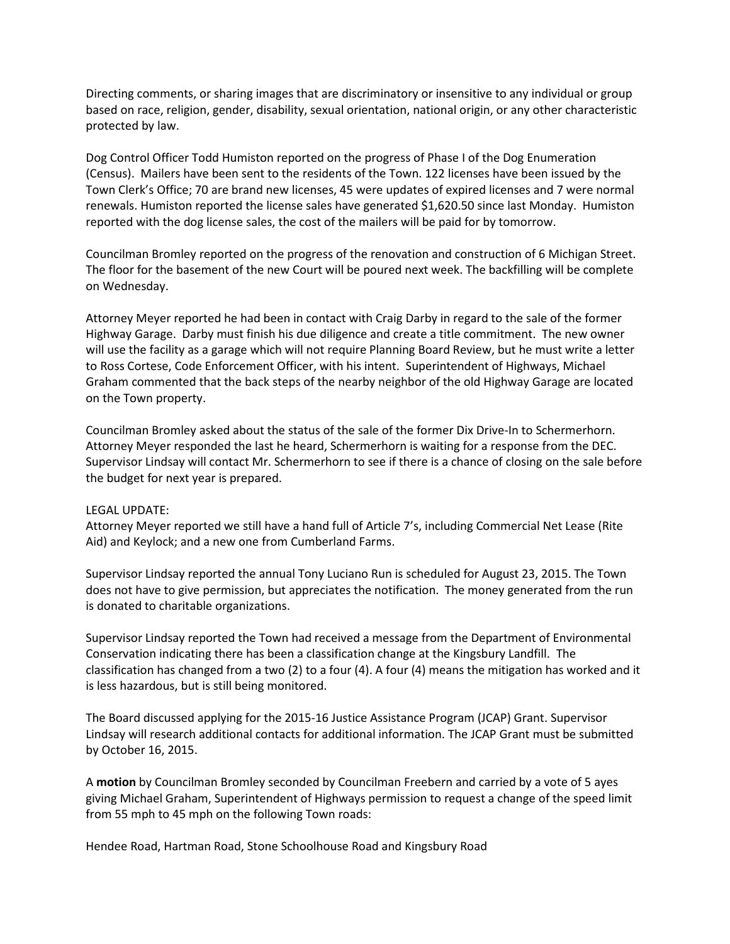Directing comments, or sharing images that are discriminatory or insensitive to any individual or group based on race, religion, gender, disability, sexual orientation, national origin, or any other characteristic protected by law.

Dog Control Officer Todd Humiston reported on the progress of Phase I of the Dog Enumeration (Census). Mailers have been sent to the residents of the Town. 122 licenses have been issued by the Town Clerk's Office; 70 are brand new licenses, 45 were updates of expired licenses and 7 were normal renewals. Humiston reported the license sales have generated \$1,620.50 since last Monday. Humiston reported with the dog license sales, the cost of the mailers will be paid for by tomorrow.

Councilman Bromley reported on the progress of the renovation and construction of 6 Michigan Street. The floor for the basement of the new Court will be poured next week. The backfilling will be complete on Wednesday.

Attorney Meyer reported he had been in contact with Craig Darby in regard to the sale of the former Highway Garage. Darby must finish his due diligence and create a title commitment. The new owner will use the facility as a garage which will not require Planning Board Review, but he must write a letter to Ross Cortese, Code Enforcement Officer, with his intent. Superintendent of Highways, Michael Graham commented that the back steps of the nearby neighbor of the old Highway Garage are located on the Town property.

Councilman Bromley asked about the status of the sale of the former Dix Drive-In to Schermerhorn. Attorney Meyer responded the last he heard, Schermerhorn is waiting for a response from the DEC. Supervisor Lindsay will contact Mr. Schermerhorn to see if there is a chance of closing on the sale before the budget for next year is prepared.

## LEGAL UPDATE:

Attorney Meyer reported we still have a hand full of Article 7's, including Commercial Net Lease (Rite Aid) and Keylock; and a new one from Cumberland Farms.

Supervisor Lindsay reported the annual Tony Luciano Run is scheduled for August 23, 2015. The Town does not have to give permission, but appreciates the notification. The money generated from the run is donated to charitable organizations.

Supervisor Lindsay reported the Town had received a message from the Department of Environmental Conservation indicating there has been a classification change at the Kingsbury Landfill. The classification has changed from a two (2) to a four (4). A four (4) means the mitigation has worked and it is less hazardous, but is still being monitored.

The Board discussed applying for the 2015-16 Justice Assistance Program (JCAP) Grant. Supervisor Lindsay will research additional contacts for additional information. The JCAP Grant must be submitted by October 16, 2015.

A **motion** by Councilman Bromley seconded by Councilman Freebern and carried by a vote of 5 ayes giving Michael Graham, Superintendent of Highways permission to request a change of the speed limit from 55 mph to 45 mph on the following Town roads:

Hendee Road, Hartman Road, Stone Schoolhouse Road and Kingsbury Road